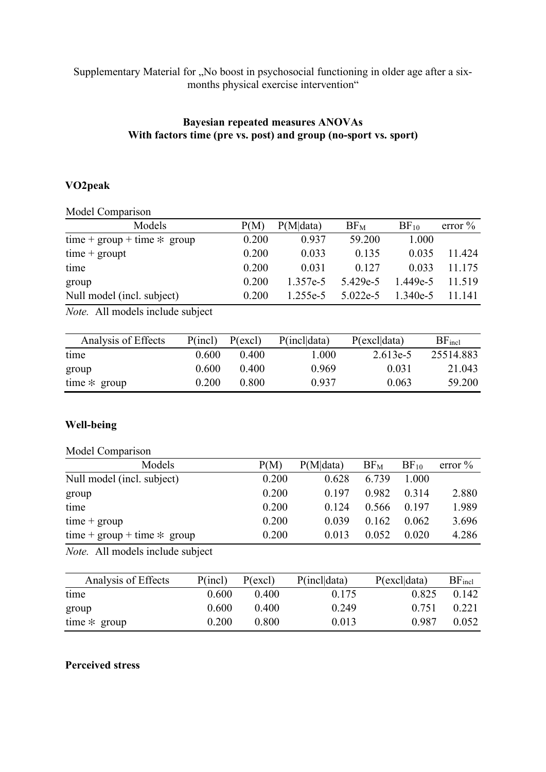Supplementary Material for "No boost in psychosocial functioning in older age after a sixmonths physical exercise intervention"

### **Bayesian repeated measures ANOVAs With factors time (pre vs. post) and group (no-sport vs. sport)**

### **VO2peak**

Model Comparison

| Models                        | P(M)  | P(M data) | $BF_M$     | $BF_{10}$  | $error \%$ |
|-------------------------------|-------|-----------|------------|------------|------------|
| time + $group + time * group$ | 0.200 | 0.937     | 59.200     | 1.000      |            |
| $time + growth$               | 0.200 | 0.033     | 0.135      | 0.035      | 11 424     |
| time                          | 0.200 | 0.031     | 0.127      | 0.033      | 11.175     |
| group                         | 0.200 | 1 357e-5  | 5.429e-5   | $1.449e-5$ | 11 519     |
| Null model (incl. subject)    | 0.200 | 1.255e-5  | $5.022e-5$ | 1.340e-5   | 11 141     |

*Note.* All models include subject

| Analysis of Effects | P(incl) | P(excl) | $P($ incl $ $ data $)$ | P(excl data) | $BF_{\text{incl}}$ |
|---------------------|---------|---------|------------------------|--------------|--------------------|
| time                | 0.600   | 0.400   | 1.000                  | 2.613e-5     | 25514.883          |
| group               | 0.600   | 0.400   | 0.969                  | 0.031        | 21.043             |
| time $*$ group      | 0.200   | 0.800   | 0.937                  | 0.063        | 59.200             |

#### **Well-being**

Model Comparison

| Models                        | P(M)  | P(M data) | $BF_M$ | $BF_{10}$ | $error \%$ |
|-------------------------------|-------|-----------|--------|-----------|------------|
| Null model (incl. subject)    | 0.200 | 0.628     | 6.739  | 1.000     |            |
| group                         | 0.200 | 0.197     | 0.982  | 0 3 1 4   | 2.880      |
| time                          | 0.200 | 0.124     | 0.566  | 0.197     | 1.989      |
| $time + group$                | 0.200 | 0.039     | 0.162  | 0.062     | 3.696      |
| $time + group + time * group$ | 0.200 | 0.013     | 0.052  | 0.020     | 4.286      |

*Note.* All models include subject

| Analysis of Effects | P(incl) | P(excl) | $P($ incl $ $ data $)$ | P(excl data) | $BF_{\text{incl}}$ |
|---------------------|---------|---------|------------------------|--------------|--------------------|
| time                | 0.600   | 0.400   | 0.175                  | 0.825        | 0.142              |
| group               | 0.600   | 0.400   | 0.249                  | 0.751        | 0.221              |
| time $*$ group      | 0.200   | 0.800   | 0.013                  | 0.987        | 0.052              |

#### **Perceived stress**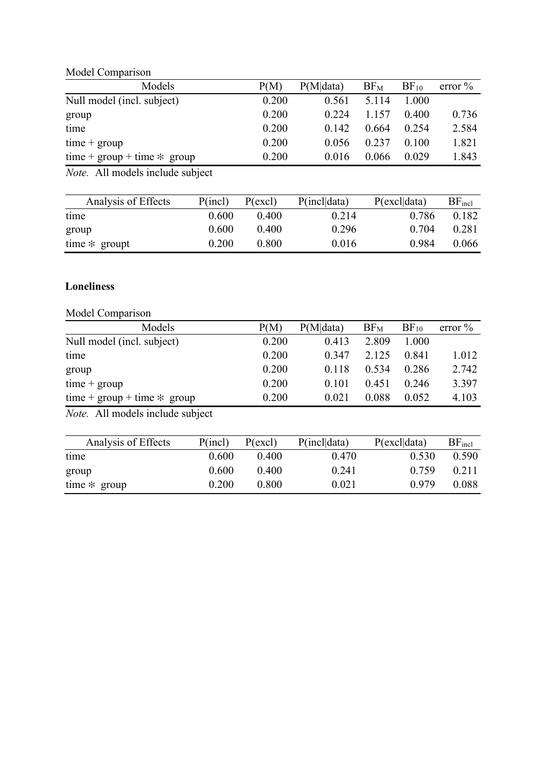## Model Comparison

| Models                        | P(M)  | P(M data) | $BF_M$ | $BF_{10}$ | $error \%$ |
|-------------------------------|-------|-----------|--------|-----------|------------|
| Null model (incl. subject)    | 0.200 | 0.561     | 5.114  | 1.000     |            |
| group                         | 0.200 | 0.224     | 1 157  | 0.400     | 0.736      |
| time                          | 0.200 | 0.142     | 0.664  | 0 2 5 4   | 2.584      |
| $time + group$                | 0.200 | 0.056     | 0.237  | 0.100     | 1.821      |
| time + $group + time * group$ | 0.200 | 0.016     | 0.066  | 0.029     | 1.843      |

*Note.* All models include subject

| Analysis of Effects | P(incl) | P(excl) | P(incl data) | P(excl data) | $BF$ <sub>incl</sub> |
|---------------------|---------|---------|--------------|--------------|----------------------|
| time                | 0.600   | 0.400   | 0.214        | 0.786        | 0.182                |
| group               | 0.600   | 0.400   | 0.296        | 0.704        | 0.281                |
| time $*$ groupt     | 0.200   | 0.800   | 0.016        | 0.984        | 0.066                |

### **Loneliness**

# Model Comparison

| Models                        | P(M)  | P(M data) | $BF_M$ | $BF_{10}$ | error $\%$ |
|-------------------------------|-------|-----------|--------|-----------|------------|
| Null model (incl. subject)    | 0.200 | 0.413     | 2.809  | 1.000     |            |
| time                          | 0.200 | 0.347     | 2.125  | 0.841     | 1.012      |
| group                         | 0.200 | 0.118     | 0.534  | 0.286     | 2.742      |
| $time + group$                | 0.200 | 0.101     | 0.451  | 0.246     | 3.397      |
| $time + group + time * group$ | 0.200 | 0.021     | 0.088  | 0.052     | 4.103      |

*Note.* All models include subject

| Analysis of Effects | P(incl) | P(excl) | $P($ incl $ $ data $)$ | P(excl data) | $BF_{\text{incl}}$ |
|---------------------|---------|---------|------------------------|--------------|--------------------|
| time                | 0.600   | 0.400   | 0.470                  | 0.530        | 0.590              |
| group               | 0.600   | 0.400   | 0.241                  | 0.759        | 0 2 1 1            |
| time $*$ group      | 0.200   | 0.800   | 0.021                  | 0.979        | 0.088              |